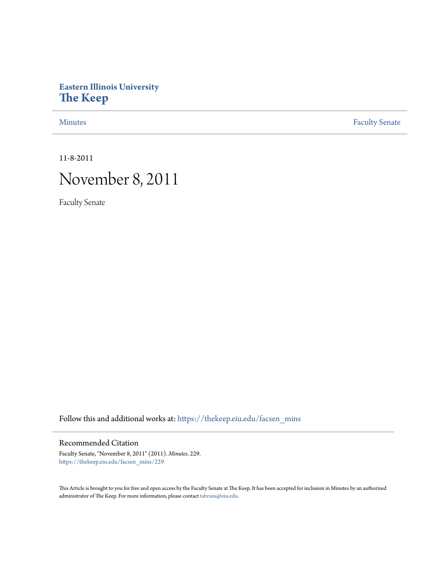# **Eastern Illinois University [The Keep](https://thekeep.eiu.edu?utm_source=thekeep.eiu.edu%2Ffacsen_mins%2F229&utm_medium=PDF&utm_campaign=PDFCoverPages)**

[Minutes](https://thekeep.eiu.edu/facsen_mins?utm_source=thekeep.eiu.edu%2Ffacsen_mins%2F229&utm_medium=PDF&utm_campaign=PDFCoverPages) **[Faculty Senate](https://thekeep.eiu.edu/fac_senate?utm_source=thekeep.eiu.edu%2Ffacsen_mins%2F229&utm_medium=PDF&utm_campaign=PDFCoverPages)** 

11-8-2011

# November 8, 2011

Faculty Senate

Follow this and additional works at: [https://thekeep.eiu.edu/facsen\\_mins](https://thekeep.eiu.edu/facsen_mins?utm_source=thekeep.eiu.edu%2Ffacsen_mins%2F229&utm_medium=PDF&utm_campaign=PDFCoverPages)

# Recommended Citation

Faculty Senate, "November 8, 2011" (2011). *Minutes*. 229. [https://thekeep.eiu.edu/facsen\\_mins/229](https://thekeep.eiu.edu/facsen_mins/229?utm_source=thekeep.eiu.edu%2Ffacsen_mins%2F229&utm_medium=PDF&utm_campaign=PDFCoverPages)

This Article is brought to you for free and open access by the Faculty Senate at The Keep. It has been accepted for inclusion in Minutes by an authorized administrator of The Keep. For more information, please contact [tabruns@eiu.edu.](mailto:tabruns@eiu.edu)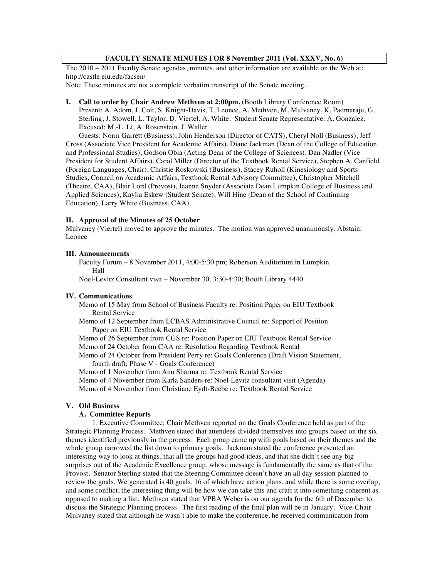# **FACULTY SENATE MINUTES FOR 8 November 2011 (Vol. XXXV, No. 6)**

The 2010 – 2011 Faculty Senate agendas, minutes, and other information are available on the Web at: http://castle.eiu.edu/facsen/

Note: These minutes are not a complete verbatim transcript of the Senate meeting.

**I. Call to order by Chair Andrew Methven at 2:00pm.** (Booth Library Conference Room) Present: A. Adom, J. Coit, S. Knight-Davis, T. Leonce, A. Methven, M. Mulvaney, K. Padmaraju, G. Sterling, J. Stowell, L. Taylor, D. Viertel, A. White. Student Senate Representative: A. Gonzalez. Excused: M.-L. Li, A. Rosenstein, J. Waller

Guests: Norm Garrett (Business), John Henderson (Director of CATS), Cheryl Noll (Business), Jeff Cross (Associate Vice President for Academic Affairs), Diane Jackman (Dean of the College of Education and Professional Studies), Godson Obia (Acting Dean of the College of Sciences), Dan Nadler (Vice President for Student Affairs), Carol Miller (Director of the Textbook Rental Service), Stephen A. Canfield (Foreign Languages, Chair), Christie Roskowski (Business), Stacey Ruholl (Kinesiology and Sports Studies, Council on Academic Affairs, Textbook Rental Advisory Committee), Christopher Mitchell (Theatre, CAA), Blair Lord (Provost), Jeanne Snyder (Associate Dean Lumpkin College of Business and Applied Sciences), Kaylia Eskew (Student Senate), Will Hine (Dean of the School of Continuing Education), Larry White (Business, CAA)

#### **II. Approval of the Minutes of 25 October**

Mulvaney (Viertel) moved to approve the minutes. The motion was approved unanimously. Abstain: Leonce

# **III. Announcements**

Faculty Forum – 8 November 2011, 4:00-5:30 pm; Roberson Auditorium in Lumpkin Hall

Noel-Levitz Consultant visit – November 30, 3:30-4:30; Booth Library 4440

### **IV. Communications**

Memo of 15 May from School of Business Faculty re: Position Paper on EIU Textbook Rental Service

Memo of 12 September from LCBAS Administrative Council re: Support of Position Paper on EIU Textbook Rental Service

Memo of 26 September from CGS re: Position Paper on EIU Textbook Rental Service Memo of 24 October from CAA re: Resolution Regarding Textbook Rental

Memo of 24 October from President Perry re: Goals Conference (Draft Vision Statement, fourth draft; Phase V - Goals Conference)

Memo of 1 November from Anu Sharma re: Textbook Rental Service

Memo of 4 November from Karla Sanders re: Noel-Levitz consultant visit (Agenda)

Memo of 4 November from Christiane Eydt-Beebe re: Textbook Rental Service

# **V. Old Business**

### **A. Committee Reports**

1. Executive Committee: Chair Methven reported on the Goals Conference held as part of the Strategic Planning Process. Methven stated that attendees divided themselves into groups based on the six themes identified previously in the process. Each group came up with goals based on their themes and the whole group narrowed the list down to primary goals. Jackman stated the conference presented an interesting way to look at things, that all the groups had good ideas, and that she didn't see any big surprises out of the Academic Excellence group, whose message is fundamentally the same as that of the Provost. Senator Sterling stated that the Steering Committee doesn't have an all day session planned to review the goals. We generated is 40 goals, 16 of which have action plans, and while there is some overlap, and some conflict, the interesting thing will be how we can take this and craft it into something coherent as opposed to making a list. Methven stated that VPBA Weber is on our agenda for the 6th of December to discuss the Strategic Planning process. The first reading of the final plan will be in January. Vice-Chair Mulvaney stated that although he wasn't able to make the conference, he received communication from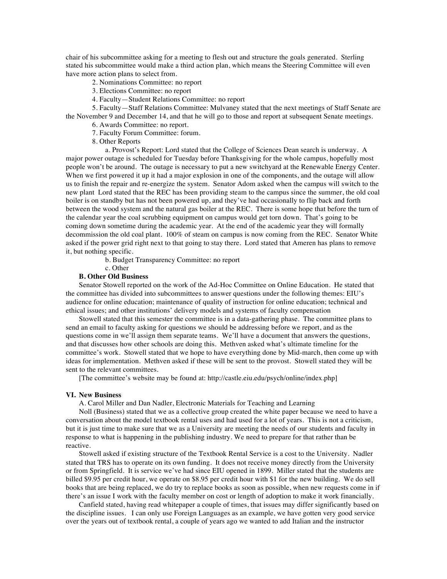chair of his subcommittee asking for a meeting to flesh out and structure the goals generated. Sterling stated his subcommittee would make a third action plan, which means the Steering Committee will even have more action plans to select from.

2. Nominations Committee: no report

- 3. Elections Committee: no report
- 4. Faculty—Student Relations Committee: no report

5. Faculty—Staff Relations Committee: Mulvaney stated that the next meetings of Staff Senate are the November 9 and December 14, and that he will go to those and report at subsequent Senate meetings.

- 6. Awards Committee: no report.
- 7. Faculty Forum Committee: forum.
- 8. Other Reports

a. Provost's Report: Lord stated that the College of Sciences Dean search is underway. A major power outage is scheduled for Tuesday before Thanksgiving for the whole campus, hopefully most people won't be around. The outage is necessary to put a new switchyard at the Renewable Energy Center. When we first powered it up it had a major explosion in one of the components, and the outage will allow us to finish the repair and re-energize the system. Senator Adom asked when the campus will switch to the new plant Lord stated that the REC has been providing steam to the campus since the summer, the old coal boiler is on standby but has not been powered up, and they've had occasionally to flip back and forth between the wood system and the natural gas boiler at the REC. There is some hope that before the turn of the calendar year the coal scrubbing equipment on campus would get torn down. That's going to be coming down sometime during the academic year. At the end of the academic year they will formally decommission the old coal plant. 100% of steam on campus is now coming from the REC. Senator White asked if the power grid right next to that going to stay there. Lord stated that Ameren has plans to remove it, but nothing specific.

b. Budget Transparency Committee: no report

c. Other

# **B. Other Old Business**

Senator Stowell reported on the work of the Ad-Hoc Committee on Online Education. He stated that the committee has divided into subcommittees to answer questions under the following themes: EIU's audience for online education; maintenance of quality of instruction for online education; technical and ethical issues; and other institutions' delivery models and systems of faculty compensation

Stowell stated that this semester the committee is in a data-gathering phase. The committee plans to send an email to faculty asking for questions we should be addressing before we report, and as the questions come in we'll assign them separate teams. We'll have a document that answers the questions, and that discusses how other schools are doing this. Methven asked what's ultimate timeline for the committee's work. Stowell stated that we hope to have everything done by Mid-march, then come up with ideas for implementation. Methven asked if these will be sent to the provost. Stowell stated they will be sent to the relevant committees.

[The committee's website may be found at: http://castle.eiu.edu/psych/online/index.php]

#### **VI. New Business**

A. Carol Miller and Dan Nadler, Electronic Materials for Teaching and Learning

Noll (Business) stated that we as a collective group created the white paper because we need to have a conversation about the model textbook rental uses and had used for a lot of years. This is not a criticism, but it is just time to make sure that we as a University are meeting the needs of our students and faculty in response to what is happening in the publishing industry. We need to prepare for that rather than be reactive.

Stowell asked if existing structure of the Textbook Rental Service is a cost to the University. Nadler stated that TRS has to operate on its own funding. It does not receive money directly from the University or from Springfield. It is service we've had since EIU opened in 1899. Miller stated that the students are billed \$9.95 per credit hour, we operate on \$8.95 per credit hour with \$1 for the new building. We do sell books that are being replaced, we do try to replace books as soon as possible, when new requests come in if there's an issue I work with the faculty member on cost or length of adoption to make it work financially.

Canfield stated, having read whitepaper a couple of times, that issues may differ significantly based on the discipline issues. I can only use Foreign Languages as an example, we have gotten very good service over the years out of textbook rental, a couple of years ago we wanted to add Italian and the instructor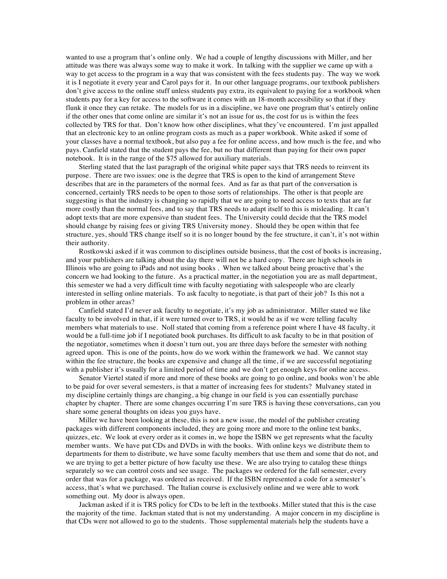wanted to use a program that's online only. We had a couple of lengthy discussions with Miller, and her attitude was there was always some way to make it work. In talking with the supplier we came up with a way to get access to the program in a way that was consistent with the fees students pay. The way we work it is I negotiate it every year and Carol pays for it. In our other language programs, our textbook publishers don't give access to the online stuff unless students pay extra, its equivalent to paying for a workbook when students pay for a key for access to the software it comes with an 18-month accessibility so that if they flunk it once they can retake. The models for us in a discipline, we have one program that's entirely online if the other ones that come online are similar it's not an issue for us, the cost for us is within the fees collected by TRS for that. Don't know how other disciplines, what they've encountered. I'm just appalled that an electronic key to an online program costs as much as a paper workbook. White asked if some of your classes have a normal textbook, but also pay a fee for online access, and how much is the fee, and who pays. Canfield stated that the student pays the fee, but no that different than paying for their own paper notebook. It is in the range of the \$75 allowed for auxiliary materials.

Sterling stated that the last paragraph of the original white paper says that TRS needs to reinvent its purpose. There are two issues: one is the degree that TRS is open to the kind of arrangement Steve describes that are in the parameters of the normal fees. And as far as that part of the conversation is concerned, certainly TRS needs to be open to those sorts of relationships. The other is that people are suggesting is that the industry is changing so rapidly that we are going to need access to texts that are far more costly than the normal fees, and to say that TRS needs to adapt itself to this is misleading. It can't adopt texts that are more expensive than student fees. The University could decide that the TRS model should change by raising fees or giving TRS University money. Should they be open within that fee structure, yes, should TRS change itself so it is no longer bound by the fee structure, it can't, it's not within their authority.

Rostkowski asked if it was common to disciplines outside business, that the cost of books is increasing, and your publishers are talking about the day there will not be a hard copy. There are high schools in Illinois who are going to iPads and not using books . When we talked about being proactive that's the concern we had looking to the future. As a practical matter, in the negotiation you are as mall department, this semester we had a very difficult time with faculty negotiating with salespeople who are clearly interested in selling online materials. To ask faculty to negotiate, is that part of their job? Is this not a problem in other areas?

Canfield stated I'd never ask faculty to negotiate, it's my job as administrator. Miller stated we like faculty to be involved in that, if it were turned over to TRS, it would be as if we were telling faculty members what materials to use. Noll stated that coming from a reference point where I have 48 faculty, it would be a full-time job if I negotiated book purchases. Its difficult to ask faculty to be in that position of the negotiator, sometimes when it doesn't turn out, you are three days before the semester with nothing agreed upon. This is one of the points, how do we work within the framework we had. We cannot stay within the fee structure, the books are expensive and change all the time, if we are successful negotiating with a publisher it's usually for a limited period of time and we don't get enough keys for online access.

Senator Viertel stated if more and more of these books are going to go online, and books won't be able to be paid for over several semesters, is that a matter of increasing fees for students? Mulvaney stated in my discipline certainly things are changing, a big change in our field is you can essentially purchase chapter by chapter. There are some changes occurring I'm sure TRS is having these conversations, can you share some general thoughts on ideas you guys have.

Miller we have been looking at these, this is not a new issue, the model of the publisher creating packages with different components included, they are going more and more to the online test banks, quizzes, etc. We look at every order as it comes in, we hope the ISBN we get represents what the faculty member wants. We have put CDs and DVDs in with the books. With online keys we distribute them to departments for them to distribute, we have some faculty members that use them and some that do not, and we are trying to get a better picture of how faculty use these. We are also trying to catalog these things separately so we can control costs and see usage. The packages we ordered for the fall semester, every order that was for a package, was ordered as received. If the ISBN represented a code for a semester's access, that's what we purchased. The Italian course is exclusively online and we were able to work something out. My door is always open.

Jackman asked if it is TRS policy for CDs to be left in the textbooks. Miller stated that this is the case the majority of the time. Jackman stated that is not my understanding. A major concern in my discipline is that CDs were not allowed to go to the students. Those supplemental materials help the students have a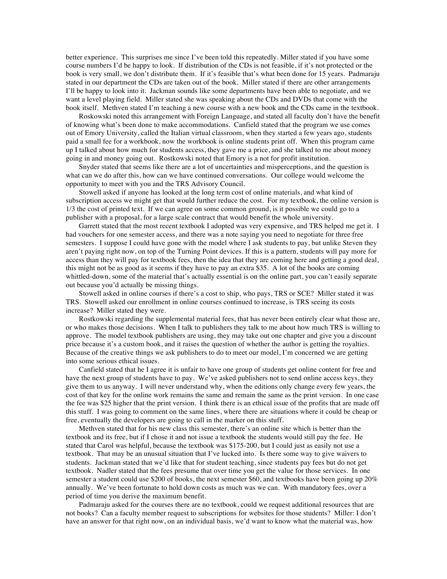better experience. This surprises me since I've been told this repeatedly. Miller stated if you have some course numbers I'd be happy to look. If distribution of the CDs is not feasible, if it's not protected or the book is very small, we don't distribute them. If it's feasible that's what been done for 15 years. Padmaraju stated in our department the CDs are taken out of the book. Miller stated if there are other arrangements I'll be happy to look into it. Jackman sounds like some departments have been able to negotiate, and we want a level playing field. Miller stated she was speaking about the CDs and DVDs that come with the book itself. Methven stated I'm teaching a new course with a new book and the CDs came in the textbook.

Roskowski noted this arrangement with Foreign Language, and stated all faculty don't have the benefit of knowing what's been done to make accommodations. Canfield stated that the program we use comes out of Emory University, called the Italian virtual classroom, when they started a few years ago, students paid a small fee for a workbook, now the workbook is online students print off. When this program came up I talked about how much for students access, they gave me a price, and she talked to me about money going in and money going out. Rostkowski noted that Emory is a not for profit institution.

Snyder stated that seems like there are a lot of uncertainties and misperceptions, and the question is what can we do after this, how can we have continued conversations. Our college would welcome the opportunity to meet with you and the TRS Advisory Council.

Stowell asked if anyone has looked at the long term cost of online materials, and what kind of subscription access we might get that would further reduce the cost. For my textbook, the online version is 1/3 the cost of printed text. If we can agree on some common ground, is it possible we could go to a publisher with a proposal, for a large scale contract that would benefit the whole university.

Garrett stated that the most recent textbook I adopted was very expensive, and TRS helped me get it. I had vouchers for one semester access, and there was a note saying you need to negotiate for three free semesters. I suppose I could have gone with the model where I ask students to pay, but unlike Steven they aren't paying right now, on top of the Turning Point devices. If this is a pattern, students will pay more for access than they will pay for textbook fees, then the idea that they are coming here and getting a good deal, this might not be as good as it seems if they have to pay an extra \$35. A lot of the books are coming whittled-down, some of the material that's actually essential is on the online part, you can't easily separate out because you'd actually be missing things.

Stowell asked in online courses if there's a cost to ship, who pays, TRS or SCE? Miller stated it was TRS. Stowell asked our enrollment in online courses continued to increase, is TRS seeing its costs increase? Miller stated they were.

Rostkowski regarding the supplemental material fees, that has never been entirely clear what those are, or who makes those decisions. When I talk to publishers they talk to me about how much TRS is willing to approve. The model textbook publishers are using, they may take out one chapter and give you a discount price because it's a custom book, and it raises the question of whether the author is getting the royalties. Because of the creative things we ask publishers to do to meet our model, I'm concerned we are getting into some serious ethical issues.

Canfield stated that he I agree it is unfair to have one group of students get online content for free and have the next group of students have to pay. We've asked publishers not to send online access keys, they give them to us anyway. I will never understand why, when the editions only change every few years, the cost of that key for the online work remains the same and remain the same as the print version. In one case the fee was \$25 higher that the print version. I think there is an ethical issue of the profits that are made off this stuff. I was going to comment on the same lines, where there are situations where it could be cheap or free, eventually the developers are going to call in the marker on this stuff.

Methven stated that for his new class this semester, there's an online site which is better than the textbook and its free, but if I chose it and not issue a textbook the students would still pay the fee. He stated that Carol was helpful, because the textbook was \$175-200, but I could just as easily not use a textbook. That may be an unusual situation that I've lucked into. Is there some way to give waivers to students. Jackman stated that we'd like that for student teaching, since students pay fees but do not get textbook. Nadler stated that the fees presume that over time you get the value for those services. In one semester a student could use \$200 of books, the next semester \$60, and textbooks have been going up 20% annually. We've been fortunate to hold down costs as much was we can. With mandatory fees, over a period of time you derive the maximum benefit.

Padmaraju asked for the courses there are no textbook, could we request additional resources that are not books? Can a faculty member request to subscriptions for websites for those students? Miller: I don't have an answer for that right now, on an individual basis, we'd want to know what the material was, how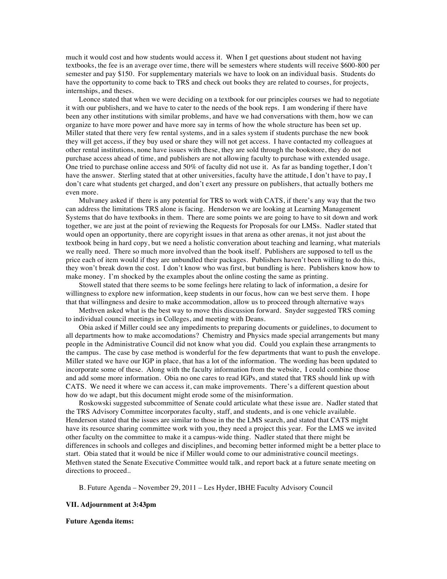much it would cost and how students would access it. When I get questions about student not having textbooks, the fee is an average over time, there will be semesters where students will receive \$600-800 per semester and pay \$150. For supplementary materials we have to look on an individual basis. Students do have the opportunity to come back to TRS and check out books they are related to courses, for projects, internships, and theses.

Leonce stated that when we were deciding on a textbook for our principles courses we had to negotiate it with our publishers, and we have to cater to the needs of the book reps. I am wondering if there have been any other institutions with similar problems, and have we had conversations with them, how we can organize to have more power and have more say in terms of how the whole structure has been set up. Miller stated that there very few rental systems, and in a sales system if students purchase the new book they will get access, if they buy used or share they will not get access. I have contacted my colleagues at other rental institutions, none have issues with these, they are sold through the bookstore, they do not purchase access ahead of time, and publishers are not allowing faculty to purchase with extended usage. One tried to purchase online access and 50% of faculty did not use it. As far as banding together, I don't have the answer. Sterling stated that at other universities, faculty have the attitude, I don't have to pay, I don't care what students get charged, and don't exert any pressure on publishers, that actually bothers me even more.

Mulvaney asked if there is any potential for TRS to work with CATS, if there's any way that the two can address the limitations TRS alone is facing. Henderson we are looking at Learning Management Systems that do have textbooks in them. There are some points we are going to have to sit down and work together, we are just at the point of reviewing the Requests for Proposals for our LMSs. Nadler stated that would open an opportunity, there are copyright issues in that arena as other arenas, it not just about the textbook being in hard copy, but we need a holistic converation about teaching and learning, what materials we really need. There so much more involved than the book itself. Publishers are supposed to tell us the price each of item would if they are unbundled their packages. Publishers haven't been willing to do this, they won't break down the cost. I don't know who was first, but bundling is here. Publishers know how to make money. I'm shocked by the examples about the online costing the same as printing.

Stowell stated that there seems to be some feelings here relating to lack of information, a desire for willingness to explore new information, keep students in our focus, how can we best serve them. I hope that that willingness and desire to make accommodation, allow us to proceed through alternative ways

Methven asked what is the best way to move this discussion forward. Snyder suggested TRS coming to individual council meetings in Colleges, and meeting with Deans.

Obia asked if Miller could see any impediments to preparing documents or guidelines, to document to all departments how to make accomodations? Chemistry and Physics made special arrangements but many people in the Administrative Council did not know what you did. Could you explain these arrangments to the campus. The case by case method is wonderful for the few departments that want to push the envelope. Miller stated we have our IGP in place, that has a lot of the information. The wording has been updated to incorporate some of these. Along with the faculty information from the website, I could combine those and add some more information. Obia no one cares to read IGPs, and stated that TRS should link up with CATS. We need it where we can access it, can make improvements. There's a different question about how do we adapt, but this document might erode some of the misinformation.

Roskowski suggested subcommittee of Senate could articulate what these issue are. Nadler stated that the TRS Advisory Committee incorporates faculty, staff, and students, and is one vehicle available. Henderson stated that the issues are similar to those in the the LMS search, and stated that CATS might have its resource sharing committee work with you, they need a project this year. For the LMS we invited other faculty on the committee to make it a campus-wide thing. Nadler stated that there might be differences in schools and colleges and disciplines, and becoming better informed might be a better place to start. Obia stated that it would be nice if Miller would come to our administrative council meetings. Methven stated the Senate Executive Committee would talk, and report back at a future senate meeting on directions to proceed..

B. Future Agenda – November 29, 2011 – Les Hyder, IBHE Faculty Advisory Council

#### **VII. Adjournment at 3:43pm**

#### **Future Agenda items:**